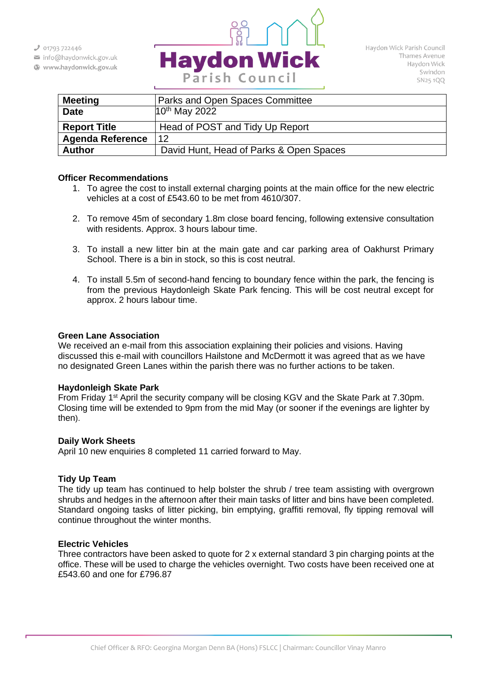$301793722446$ 

- info@haydonwick.gov.uk
- Www.haydonwick.gov.uk



| <b>Meeting</b>          | Parks and Open Spaces Committee         |
|-------------------------|-----------------------------------------|
| <b>Date</b>             | $10^{th}$ May 2022                      |
| <b>Report Title</b>     | Head of POST and Tidy Up Report         |
| <b>Agenda Reference</b> | 12                                      |
| <b>Author</b>           | David Hunt, Head of Parks & Open Spaces |

### **Officer Recommendations**

- 1. To agree the cost to install external charging points at the main office for the new electric vehicles at a cost of £543.60 to be met from 4610/307.
- 2. To remove 45m of secondary 1.8m close board fencing, following extensive consultation with residents. Approx. 3 hours labour time.
- 3. To install a new litter bin at the main gate and car parking area of Oakhurst Primary School. There is a bin in stock, so this is cost neutral.
- 4. To install 5.5m of second-hand fencing to boundary fence within the park, the fencing is from the previous Haydonleigh Skate Park fencing. This will be cost neutral except for approx. 2 hours labour time.

#### **Green Lane Association**

We received an e-mail from this association explaining their policies and visions. Having discussed this e-mail with councillors Hailstone and McDermott it was agreed that as we have no designated Green Lanes within the parish there was no further actions to be taken.

### **Haydonleigh Skate Park**

From Friday 1<sup>st</sup> April the security company will be closing KGV and the Skate Park at 7.30pm. Closing time will be extended to 9pm from the mid May (or sooner if the evenings are lighter by then).

### **Daily Work Sheets**

April 10 new enquiries 8 completed 11 carried forward to May.

### **Tidy Up Team**

The tidy up team has continued to help bolster the shrub / tree team assisting with overgrown shrubs and hedges in the afternoon after their main tasks of litter and bins have been completed. Standard ongoing tasks of litter picking, bin emptying, graffiti removal, fly tipping removal will continue throughout the winter months.

### **Electric Vehicles**

Three contractors have been asked to quote for 2 x external standard 3 pin charging points at the office. These will be used to charge the vehicles overnight. Two costs have been received one at £543.60 and one for £796.87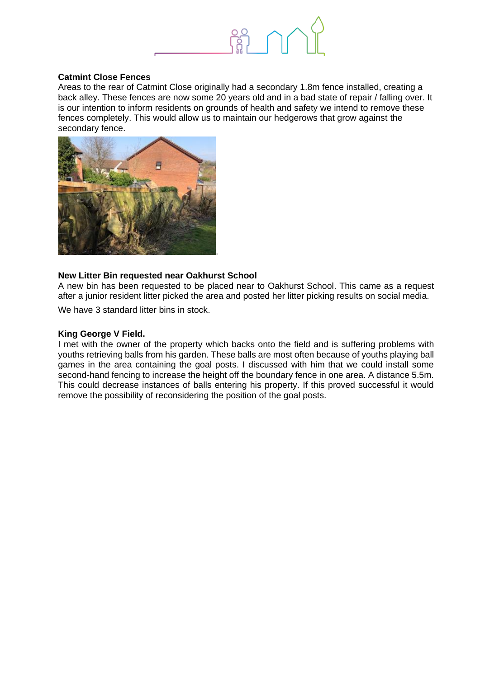

# **Catmint Close Fences**

Areas to the rear of Catmint Close originally had a secondary 1.8m fence installed, creating a back alley. These fences are now some 20 years old and in a bad state of repair / falling over. It is our intention to inform residents on grounds of health and safety we intend to remove these fences completely. This would allow us to maintain our hedgerows that grow against the secondary fence.



### **New Litter Bin requested near Oakhurst School**

A new bin has been requested to be placed near to Oakhurst School. This came as a request after a junior resident litter picked the area and posted her litter picking results on social media.

We have 3 standard litter bins in stock.

### **King George V Field.**

I met with the owner of the property which backs onto the field and is suffering problems with youths retrieving balls from his garden. These balls are most often because of youths playing ball games in the area containing the goal posts. I discussed with him that we could install some second-hand fencing to increase the height off the boundary fence in one area. A distance 5.5m. This could decrease instances of balls entering his property. If this proved successful it would remove the possibility of reconsidering the position of the goal posts.